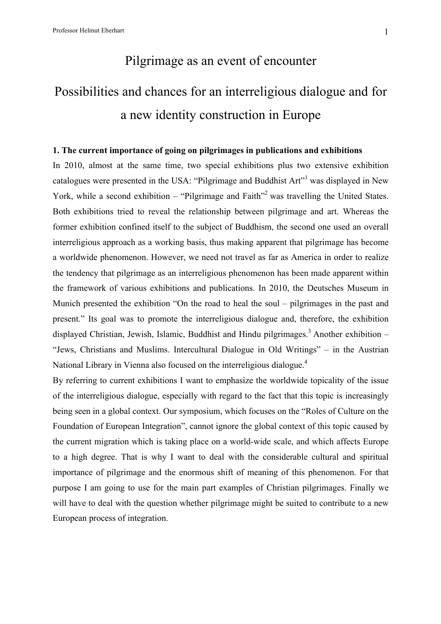## Pilgrimage as an event of encounter

# Possibilities and chances for an interreligious dialogue and for a new identity construction in Europe

#### **1. The current importance of going on pilgrimages in publications and exhibitions**

In 2010, almost at the same time, two special exhibitions plus two extensive exhibition catalogues were presented in the USA: "Pilgrimage and Buddhist Art"<sup>1</sup> was displayed in New York, while a second exhibition – "Pilgrimage and Faith"<sup>2</sup> was travelling the United States. Both exhibitions tried to reveal the relationship between pilgrimage and art. Whereas the former exhibition confined itself to the subject of Buddhism, the second one used an overall interreligious approach as a working basis, thus making apparent that pilgrimage has become a worldwide phenomenon. However, we need not travel as far as America in order to realize the tendency that pilgrimage as an interreligious phenomenon has been made apparent within the framework of various exhibitions and publications. In 2010, the Deutsches Museum in Munich presented the exhibition "On the road to heal the soul – pilgrimages in the past and present." Its goal was to promote the interreligious dialogue and, therefore, the exhibition displayed Christian, Jewish, Islamic, Buddhist and Hindu pilgrimages.<sup>3</sup> Another exhibition – "Jews, Christians and Muslims. Intercultural Dialogue in Old Writings" – in the Austrian National Library in Vienna also focused on the interreligious dialogue.<sup>4</sup>

By referring to current exhibitions I want to emphasize the worldwide topicality of the issue of the interreligious dialogue, especially with regard to the fact that this topic is increasingly being seen in a global context. Our symposium, which focuses on the "Roles of Culture on the Foundation of European Integration", cannot ignore the global context of this topic caused by the current migration which is taking place on a world-wide scale, and which affects Europe to a high degree. That is why I want to deal with the considerable cultural and spiritual importance of pilgrimage and the enormous shift of meaning of this phenomenon. For that purpose I am going to use for the main part examples of Christian pilgrimages. Finally we will have to deal with the question whether pilgrimage might be suited to contribute to a new European process of integration.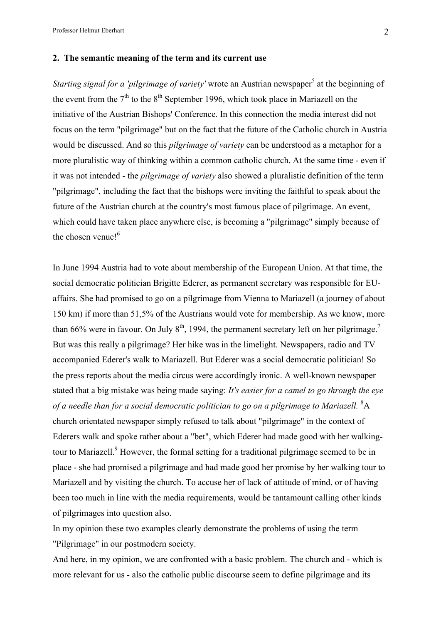Professor Helmut Eberhart 2

#### **2. The semantic meaning of the term and its current use**

*Starting signal for a 'pilgrimage of variety'* wrote an Austrian newspaper<sup>5</sup> at the beginning of the event from the  $7<sup>th</sup>$  to the  $8<sup>th</sup>$  September 1996, which took place in Mariazell on the initiative of the Austrian Bishops' Conference. In this connection the media interest did not focus on the term "pilgrimage" but on the fact that the future of the Catholic church in Austria would be discussed. And so this *pilgrimage of variety* can be understood as a metaphor for a more pluralistic way of thinking within a common catholic church. At the same time - even if it was not intended - the *pilgrimage of variety* also showed a pluralistic definition of the term "pilgrimage", including the fact that the bishops were inviting the faithful to speak about the future of the Austrian church at the country's most famous place of pilgrimage. An event, which could have taken place anywhere else, is becoming a "pilgrimage" simply because of the chosen venue!<sup>6</sup>

In June 1994 Austria had to vote about membership of the European Union. At that time, the social democratic politician Brigitte Ederer, as permanent secretary was responsible for EUaffairs. She had promised to go on a pilgrimage from Vienna to Mariazell (a journey of about 150 km) if more than 51,5% of the Austrians would vote for membership. As we know, more than 66% were in favour. On July  $8<sup>th</sup>$ , 1994, the permanent secretary left on her pilgrimage.<sup>7</sup> But was this really a pilgrimage? Her hike was in the limelight. Newspapers, radio and TV accompanied Ederer's walk to Mariazell. But Ederer was a social democratic politician! So the press reports about the media circus were accordingly ironic. A well-known newspaper stated that a big mistake was being made saying: *It's easier for a camel to go through the eye*  of a needle than for a social democratic politician to go on a pilgrimage to Mariazell. <sup>8</sup>A church orientated newspaper simply refused to talk about "pilgrimage" in the context of Ederers walk and spoke rather about a "bet", which Ederer had made good with her walkingtour to Mariazell. $9$  However, the formal setting for a traditional pilgrimage seemed to be in place - she had promised a pilgrimage and had made good her promise by her walking tour to Mariazell and by visiting the church. To accuse her of lack of attitude of mind, or of having been too much in line with the media requirements, would be tantamount calling other kinds of pilgrimages into question also.

In my opinion these two examples clearly demonstrate the problems of using the term "Pilgrimage" in our postmodern society.

And here, in my opinion, we are confronted with a basic problem. The church and - which is more relevant for us - also the catholic public discourse seem to define pilgrimage and its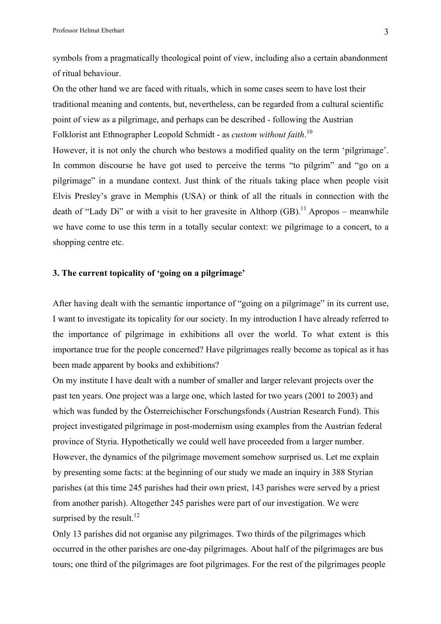symbols from a pragmatically theological point of view, including also a certain abandonment of ritual behaviour.

On the other hand we are faced with rituals, which in some cases seem to have lost their traditional meaning and contents, but, nevertheless, can be regarded from a cultural scientific point of view as a pilgrimage, and perhaps can be described - following the Austrian Folklorist ant Ethnographer Leopold Schmidt - as *custom without faith*.<sup>10</sup>

However, it is not only the church who bestows a modified quality on the term 'pilgrimage'. In common discourse he have got used to perceive the terms "to pilgrim" and "go on a pilgrimage" in a mundane context. Just think of the rituals taking place when people visit Elvis Presley's grave in Memphis (USA) or think of all the rituals in connection with the death of "Lady Di" or with a visit to her gravesite in Althorp  $(GB)$ .<sup>11</sup> Apropos – meanwhile we have come to use this term in a totally secular context: we pilgrimage to a concert, to a shopping centre etc.

#### **3. The current topicality of 'going on a pilgrimage'**

After having dealt with the semantic importance of "going on a pilgrimage" in its current use, I want to investigate its topicality for our society. In my introduction I have already referred to the importance of pilgrimage in exhibitions all over the world. To what extent is this importance true for the people concerned? Have pilgrimages really become as topical as it has been made apparent by books and exhibitions?

On my institute I have dealt with a number of smaller and larger relevant projects over the past ten years. One project was a large one, which lasted for two years (2001 to 2003) and which was funded by the Österreichischer Forschungsfonds (Austrian Research Fund). This project investigated pilgrimage in post-modernism using examples from the Austrian federal province of Styria. Hypothetically we could well have proceeded from a larger number. However, the dynamics of the pilgrimage movement somehow surprised us. Let me explain by presenting some facts: at the beginning of our study we made an inquiry in 388 Styrian parishes (at this time 245 parishes had their own priest, 143 parishes were served by a priest from another parish). Altogether 245 parishes were part of our investigation. We were surprised by the result.<sup>12</sup>

Only 13 parishes did not organise any pilgrimages. Two thirds of the pilgrimages which occurred in the other parishes are one-day pilgrimages. About half of the pilgrimages are bus tours; one third of the pilgrimages are foot pilgrimages. For the rest of the pilgrimages people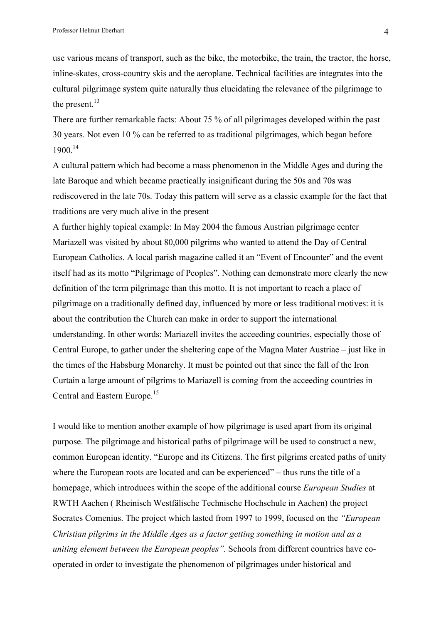use various means of transport, such as the bike, the motorbike, the train, the tractor, the horse, inline-skates, cross-country skis and the aeroplane. Technical facilities are integrates into the cultural pilgrimage system quite naturally thus elucidating the relevance of the pilgrimage to the present. $13$ 

There are further remarkable facts: About 75 % of all pilgrimages developed within the past 30 years. Not even 10 % can be referred to as traditional pilgrimages, which began before 1900.14

A cultural pattern which had become a mass phenomenon in the Middle Ages and during the late Baroque and which became practically insignificant during the 50s and 70s was rediscovered in the late 70s. Today this pattern will serve as a classic example for the fact that traditions are very much alive in the present

A further highly topical example: In May 2004 the famous Austrian pilgrimage center Mariazell was visited by about 80,000 pilgrims who wanted to attend the Day of Central European Catholics. A local parish magazine called it an "Event of Encounter" and the event itself had as its motto "Pilgrimage of Peoples". Nothing can demonstrate more clearly the new definition of the term pilgrimage than this motto. It is not important to reach a place of pilgrimage on a traditionally defined day, influenced by more or less traditional motives: it is about the contribution the Church can make in order to support the international understanding. In other words: Mariazell invites the acceeding countries, especially those of Central Europe, to gather under the sheltering cape of the Magna Mater Austriae – just like in the times of the Habsburg Monarchy. It must be pointed out that since the fall of the Iron Curtain a large amount of pilgrims to Mariazell is coming from the acceeding countries in Central and Eastern Europe.<sup>15</sup>

I would like to mention another example of how pilgrimage is used apart from its original purpose. The pilgrimage and historical paths of pilgrimage will be used to construct a new, common European identity. "Europe and its Citizens. The first pilgrims created paths of unity where the European roots are located and can be experienced" – thus runs the title of a homepage, which introduces within the scope of the additional course *European Studies* at RWTH Aachen ( Rheinisch Westfälische Technische Hochschule in Aachen) the project Socrates Comenius. The project which lasted from 1997 to 1999, focused on the *"European Christian pilgrims in the Middle Ages as a factor getting something in motion and as a uniting element between the European peoples".* Schools from different countries have cooperated in order to investigate the phenomenon of pilgrimages under historical and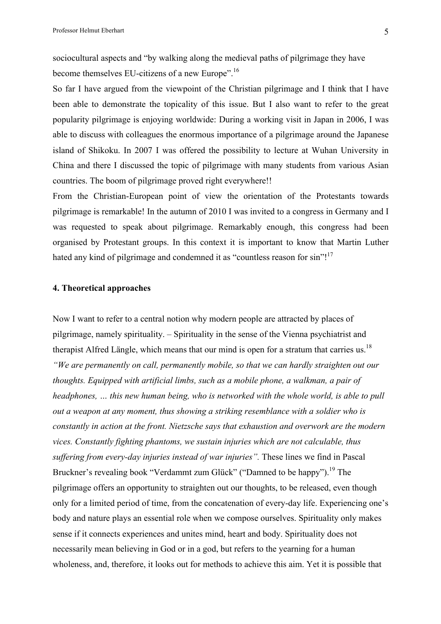sociocultural aspects and "by walking along the medieval paths of pilgrimage they have become themselves EU-citizens of a new Europe".<sup>16</sup>

So far I have argued from the viewpoint of the Christian pilgrimage and I think that I have been able to demonstrate the topicality of this issue. But I also want to refer to the great popularity pilgrimage is enjoying worldwide: During a working visit in Japan in 2006, I was able to discuss with colleagues the enormous importance of a pilgrimage around the Japanese island of Shikoku. In 2007 I was offered the possibility to lecture at Wuhan University in China and there I discussed the topic of pilgrimage with many students from various Asian countries. The boom of pilgrimage proved right everywhere!!

From the Christian-European point of view the orientation of the Protestants towards pilgrimage is remarkable! In the autumn of 2010 I was invited to a congress in Germany and I was requested to speak about pilgrimage. Remarkably enough, this congress had been organised by Protestant groups. In this context it is important to know that Martin Luther hated any kind of pilgrimage and condemned it as "countless reason for sin"!<sup>17</sup>

#### **4. Theoretical approaches**

Now I want to refer to a central notion why modern people are attracted by places of pilgrimage, namely spirituality. – Spirituality in the sense of the Vienna psychiatrist and therapist Alfred Längle, which means that our mind is open for a stratum that carries us.<sup>18</sup> *"We are permanently on call, permanently mobile, so that we can hardly straighten out our thoughts. Equipped with artificial limbs, such as a mobile phone, a walkman, a pair of headphones, ... this new human being, who is networked with the whole world, is able to pull out a weapon at any moment, thus showing a striking resemblance with a soldier who is constantly in action at the front. Nietzsche says that exhaustion and overwork are the modern vices. Constantly fighting phantoms, we sustain injuries which are not calculable, thus suffering from every-day injuries instead of war injuries".* These lines we find in Pascal Bruckner's revealing book "Verdammt zum Glück" ("Damned to be happy").<sup>19</sup> The pilgrimage offers an opportunity to straighten out our thoughts, to be released, even though only for a limited period of time, from the concatenation of every-day life. Experiencing one's body and nature plays an essential role when we compose ourselves. Spirituality only makes sense if it connects experiences and unites mind, heart and body. Spirituality does not necessarily mean believing in God or in a god, but refers to the yearning for a human wholeness, and, therefore, it looks out for methods to achieve this aim. Yet it is possible that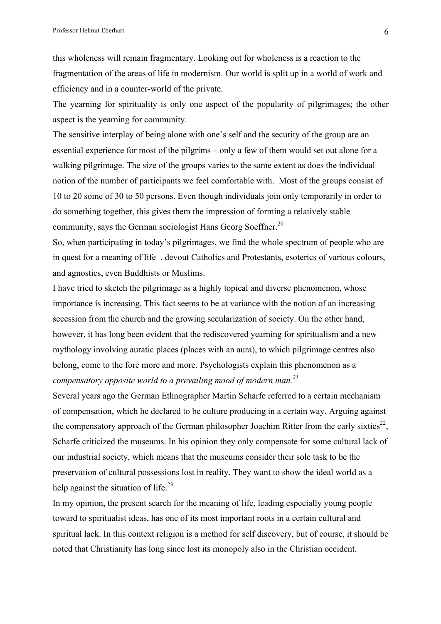this wholeness will remain fragmentary. Looking out for wholeness is a reaction to the fragmentation of the areas of life in modernism. Our world is split up in a world of work and efficiency and in a counter-world of the private.

The yearning for spirituality is only one aspect of the popularity of pilgrimages; the other aspect is the yearning for community.

The sensitive interplay of being alone with one's self and the security of the group are an essential experience for most of the pilgrims – only a few of them would set out alone for a walking pilgrimage. The size of the groups varies to the same extent as does the individual notion of the number of participants we feel comfortable with. Most of the groups consist of 10 to 20 some of 30 to 50 persons. Even though individuals join only temporarily in order to do something together, this gives them the impression of forming a relatively stable community, says the German sociologist Hans Georg Soeffner.<sup>20</sup>

So, when participating in today's pilgrimages, we find the whole spectrum of people who are in quest for a meaning of life , devout Catholics and Protestants, esoterics of various colours, and agnostics, even Buddhists or Muslims.

I have tried to sketch the pilgrimage as a highly topical and diverse phenomenon, whose importance is increasing. This fact seems to be at variance with the notion of an increasing secession from the church and the growing secularization of society. On the other hand, however, it has long been evident that the rediscovered yearning for spiritualism and a new mythology involving auratic places (places with an aura), to which pilgrimage centres also belong, come to the fore more and more. Psychologists explain this phenomenon as a *compensatory opposite world to a prevailing mood of modern man. 21*

Several years ago the German Ethnographer Martin Scharfe referred to a certain mechanism of compensation, which he declared to be culture producing in a certain way. Arguing against the compensatory approach of the German philosopher Joachim Ritter from the early sixties<sup>22</sup>. Scharfe criticized the museums. In his opinion they only compensate for some cultural lack of our industrial society, which means that the museums consider their sole task to be the preservation of cultural possessions lost in reality. They want to show the ideal world as a help against the situation of life. $^{23}$ 

In my opinion, the present search for the meaning of life, leading especially young people toward to spiritualist ideas, has one of its most important roots in a certain cultural and spiritual lack. In this context religion is a method for self discovery, but of course, it should be noted that Christianity has long since lost its monopoly also in the Christian occident.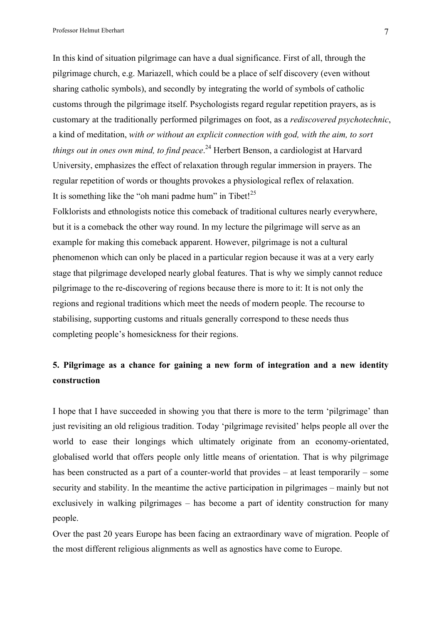Professor Helmut Eberhart 7

In this kind of situation pilgrimage can have a dual significance. First of all, through the pilgrimage church, e.g. Mariazell, which could be a place of self discovery (even without sharing catholic symbols), and secondly by integrating the world of symbols of catholic customs through the pilgrimage itself. Psychologists regard regular repetition prayers, as is customary at the traditionally performed pilgrimages on foot, as a *rediscovered psychotechnic*, a kind of meditation, *with or without an explicit connection with god, with the aim, to sort things out in ones own mind, to find peace*. <sup>24</sup> Herbert Benson, a cardiologist at Harvard University, emphasizes the effect of relaxation through regular immersion in prayers. The regular repetition of words or thoughts provokes a physiological reflex of relaxation. It is something like the "oh mani padme hum" in Tibet! $^{25}$ 

Folklorists and ethnologists notice this comeback of traditional cultures nearly everywhere, but it is a comeback the other way round. In my lecture the pilgrimage will serve as an example for making this comeback apparent. However, pilgrimage is not a cultural phenomenon which can only be placed in a particular region because it was at a very early stage that pilgrimage developed nearly global features. That is why we simply cannot reduce pilgrimage to the re-discovering of regions because there is more to it: It is not only the regions and regional traditions which meet the needs of modern people. The recourse to stabilising, supporting customs and rituals generally correspond to these needs thus completing people's homesickness for their regions.

### **5. Pilgrimage as a chance for gaining a new form of integration and a new identity construction**

I hope that I have succeeded in showing you that there is more to the term 'pilgrimage' than just revisiting an old religious tradition. Today 'pilgrimage revisited' helps people all over the world to ease their longings which ultimately originate from an economy-orientated, globalised world that offers people only little means of orientation. That is why pilgrimage has been constructed as a part of a counter-world that provides – at least temporarily – some security and stability. In the meantime the active participation in pilgrimages – mainly but not exclusively in walking pilgrimages – has become a part of identity construction for many people.

Over the past 20 years Europe has been facing an extraordinary wave of migration. People of the most different religious alignments as well as agnostics have come to Europe.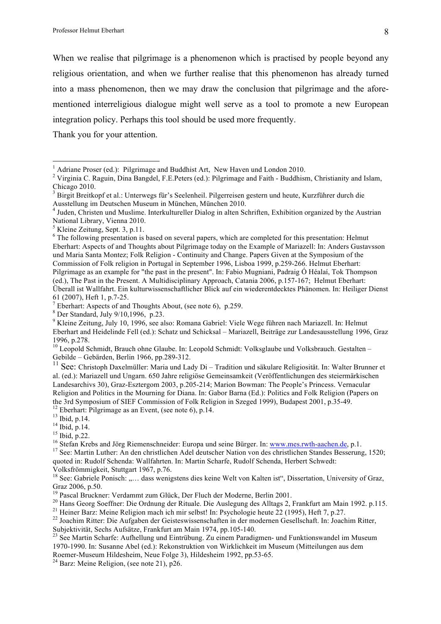When we realise that pilgrimage is a phenomenon which is practised by people beyond any religious orientation, and when we further realise that this phenomenon has already turned into a mass phenomenon, then we may draw the conclusion that pilgrimage and the aforementioned interreligious dialogue might well serve as a tool to promote a new European integration policy. Perhaps this tool should be used more frequently.

Thank you for your attention.

61 (2007), Heft 1, p.7-25.<br>
<sup>7</sup> Eberhart: Aspects of and Thoughts About, (see note 6), p.259.<br>
<sup>8</sup> Der Standard, July 9/10,1996, p.23.<br>
<sup>9</sup> Kleine Zeitung, July 10, 1996, see also: Romana Gabriel: Viele Wege führen nach M Eberhart and Heidelinde Fell (ed.): Schatz und Schicksal – Mariazell, Beiträge zur Landesausstellung 1996, Graz 1996, p.278.

<sup>10</sup> Leopold Schmidt, Brauch ohne Glaube. In: Leopold Schmidt: Volksglaube und Volksbrauch. Gestalten – Gebilde – Gebärden, Berlin 1966, pp.289-312.

<sup>11</sup> See: Christoph Daxelmüller: Maria und Lady Di – Tradition und säkulare Religiosität. In: Walter Brunner et al. (ed.): Mariazell und Ungarn. 650 Jahre religiöse Gemeinsamkeit (Veröffentlichungen des steiermärkischen Landesarchivs 30), Graz-Esztergom 2003, p.205-214; Marion Bowman: The People's Princess. Vernacular Religion and Politics in the Mourning for Diana. In: Gabor Barna (Ed.): Politics and Folk Religion (Papers on

the 3rd Symposium of SIEF Commission of Folk Religion in Szeged 1999), Budapest 2001, p.35-49.<br><sup>12</sup> Eberhart: Pilgrimage as an Event, (see note 6), p.14.<br><sup>13</sup> Ibid, p.14.<br><sup>14</sup> Ibid, p.22.<br><sup>15</sup> Stefan Krebs and Jörg Riemens quoted in: Rudolf Schenda: Wallfahrten. In: Martin Scharfe, Rudolf Schenda, Herbert Schwedt: Volksfrömmigkeit, Stuttgart 1967, p.76.

<sup>18</sup> See: Gabriele Ponisch: ..... dass wenigstens dies keine Welt von Kalten ist", Dissertation, University of Graz, Graz 2006, p.50.<br><sup>19</sup> Pascal Bruckner: Verdammt zum Glück, Der Fluch der Moderne, Berlin 2001.

<sup>20</sup> Hans Georg Soeffner: Die Ordnung der Rituale. Die Auslegung des Alltags 2, Frankfurt am Main 1992. p.115.<br><sup>21</sup> Heiner Barz: Meine Religion mach ich mir selbst! In: Psychologie heute 22 (1995), Heft 7, p.27.<br><sup>22</sup> Joac

Subjektivität, Sechs Aufsätze, Frankfurt am Main 1974, pp.105-140. <sup>23</sup> See Martin Scharfe: Aufhellung und Eintrübung. Zu einem Paradigmen- und Funktionswandel im Museum

1970-1990. In: Susanne Abel (ed.): Rekonstruktion von Wirklichkeit im Museum (Mitteilungen aus dem Roemer-Museum Hildesheim, Neue Folge 3), Hildesheim 1992, pp.53-65.<br><sup>24</sup> Barz: Meine Religion, (see note 21), p26.

<sup>&</sup>lt;sup>1</sup> Adriane Proser (ed.): Pilgrimage and Buddhist Art, New Haven und London 2010.<br><sup>2</sup> Virginia C. Raguin, Dina Bangdel, F.E.Peters (ed.): Pilgrimage and Faith - Buddhism, Christianity and Islam, Chicago 2010.

<sup>3</sup> Birgit Breitkopf et al.: Unterwegs für's Seelenheil. Pilgerreisen gestern und heute, Kurzführer durch die Ausstellung im Deutschen Museum in München, München 2010.

<sup>&</sup>lt;sup>4</sup> Juden, Christen und Muslime. Interkultureller Dialog in alten Schriften, Exhibition organized by the Austrian National Library, Vienna 2010. <sup>5</sup> Kleine Zeitung, Sept. 3, p.11.

<sup>&</sup>lt;sup>6</sup> The following presentation is based on several papers, which are completed for this presentation: Helmut Eberhart: Aspects of and Thoughts about Pilgrimage today on the Example of Mariazell: In: Anders Gustavsson und Maria Santa Montez; Folk Religion - Continuity and Change. Papers Given at the Symposium of the Commission of Folk religion in Portugal in September 1996, Lisboa 1999, p.259-266. Helmut Eberhart: Pilgrimage as an example for "the past in the present". In: Fabio Mugniani, Padraig Ó Héalaí, Tok Thompson (ed.), The Past in the Present. A Multidisciplinary Approach, Catania 2006, p.157-167; Helmut Eberhart: Überall ist Wallfahrt. Ein kulturwissenschaftlicher Blick auf ein wiederentdecktes Phänomen. In: Heiliger Dienst